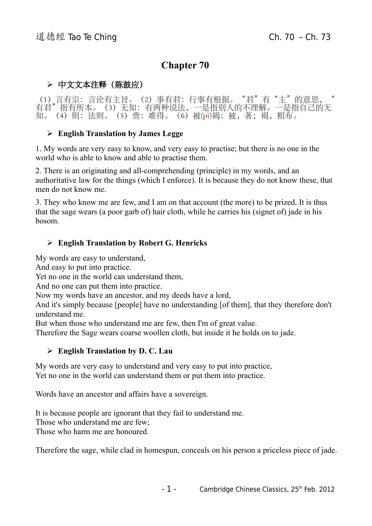# **Chapter 70**

### ➢ 中文文本注释(陈鼓应)

(1) 言有宗:言论有主旨。(2) 事有君:行事有根据。"君"有"主"的意思, 有君"指有所本。(3)无知: 有两种说法, 一是指别人的不理解。一是指自己的无 知。(4)则: 法则。(5)贵: 难得。(6)被(pī)褐: 被, 著; 褐, 粗布。

#### ➢ **English Translation by James Legge**

1. My words are very easy to know, and very easy to practise; but there is no one in the world who is able to know and able to practise them.

2. There is an originating and all-comprehending (principle) in my words, and an authoritative law for the things (which I enforce). It is because they do not know these, that men do not know me.

3. They who know me are few, and I am on that account (the more) to be prized. It is thus that the sage wears (a poor garb of) hair cloth, while he carries his (signet of) jade in his bosom.

#### ➢ **English Translation by Robert G. Henricks**

My words are easy to understand,

And easy to put into practice.

Yet no one in the world can understand them,

And no one can put them into practice.

Now my words have an ancestor, and my deeds have a lord,

And it's simply because [people] have no understanding [of them], that they therefore don't understand me.

But when those who understand me are few, then I'm of great value.

Therefore the Sage wears coarse woollen cloth, but inside it he holds on to jade.

#### ➢ **English Translation by D. C. Lau**

My words are very easy to understand and very easy to put into practice, Yet no one in the world can understand them or put them into practice.

Words have an ancestor and affairs have a sovereign.

It is because people are ignorant that they fail to understand me.

Those who understand me are few;

Those who harm me are honoured.

Therefore the sage, while clad in homespun, conceals on his person a priceless piece of jade.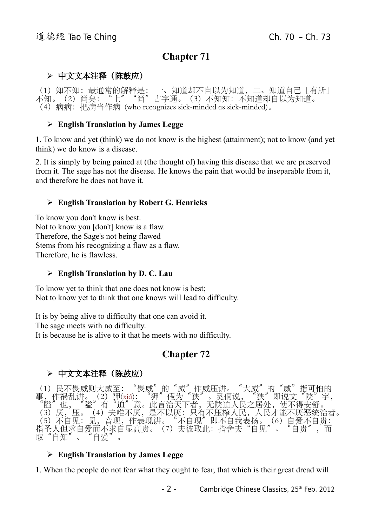# **Chapter 71**

### ➢ 中文文本注释(陈鼓应)

(1) 知不知: 最通常的解释是: 一、知道却不自以为知道, 二、知道自己 [有所]<br>K知。(2)尚矣: "上""尚"古字通。(3)不知知: 不知道却自以为知道。 不知。(2)尚矣:"上""尚"古字通。(3)不知知:不知道却自以为知道。 (4)病病:把病当作病 (who recognizes sick-minded as sick-minded)。

#### ➢ **English Translation by James Legge**

1. To know and yet (think) we do not know is the highest (attainment); not to know (and yet think) we do know is a disease.

2. It is simply by being pained at (the thought of) having this disease that we are preserved from it. The sage has not the disease. He knows the pain that would be inseparable from it, and therefore he does not have it.

#### ➢ **English Translation by Robert G. Henricks**

To know you don't know is best. Not to know you [don't] know is a flaw. Therefore, the Sage's not being flawed Stems from his recognizing a flaw as a flaw. Therefore, he is flawless.

#### ➢ **English Translation by D. C. Lau**

To know yet to think that one does not know is best; Not to know yet to think that one knows will lead to difficulty.

It is by being alive to difficulty that one can avoid it. The sage meets with no difficulty. It is because he is alive to it that he meets with no difficulty.

## **Chapter 72**

### ➢ 中文文本注释(陈鼓应)

(1)民不畏威则大威至: "畏威"的"威"作威压讲。"大威"的"威"指可怕的 事, 作祸乱讲。(2)狎(xiá): "狎"假为"狭"。奚侗说, "狭"即说文"陕"字, (1) 民不畏威则大威至: "畏威"的"威"作威压讲。"大威"的"威"指可怕<br>事, 作祸乱讲。 (2) 狎(xiá): "狎"假为"狭"。奚侗说, "狭"即说文"陕":<br>"隘"也, "隘"有"迫"意。此言治天下者, 无陕迫人民之居处, 使不得安舒。 (3)厌,压。(4)夫唯不厌,是不以厌:只有不压榨人民,人民才能不厌恶统治者。 (5)不自见:见,音现,作表现讲。"不自现"即不自我表扬。(6)自爱不自贵: 指圣人但求自爱而不求自显高贵。(7)去彼取此: 指舍去"自见"、"自贵",而 取"自知"、"自爱"。

#### ➢ **English Translation by James Legge**

1. When the people do not fear what they ought to fear, that which is their great dread will

- 2 - Cambridge Chinese Classics, 25<sup>th</sup> Feb. 2012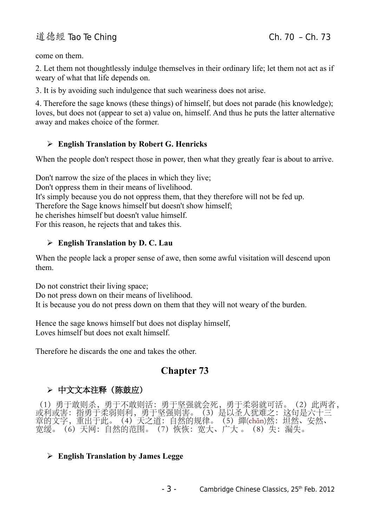# 道德經 Tao Te Ching Chang Ch. 70 – Ch. 73

come on them.

2. Let them not thoughtlessly indulge themselves in their ordinary life; let them not act as if weary of what that life depends on.

3. It is by avoiding such indulgence that such weariness does not arise.

4. Therefore the sage knows (these things) of himself, but does not parade (his knowledge); loves, but does not (appear to set a) value on, himself. And thus he puts the latter alternative away and makes choice of the former.

### ➢ **English Translation by Robert G. Henricks**

When the people don't respect those in power, then what they greatly fear is about to arrive.

Don't narrow the size of the places in which they live; Don't oppress them in their means of livelihood. It's simply because you do not oppress them, that they therefore will not be fed up. Therefore the Sage knows himself but doesn't show himself; he cherishes himself but doesn't value himself. For this reason, he rejects that and takes this.

#### ➢ **English Translation by D. C. Lau**

When the people lack a proper sense of awe, then some awful visitation will descend upon them.

Do not constrict their living space;

Do not press down on their means of livelihood.

It is because you do not press down on them that they will not weary of the burden.

Hence the sage knows himself but does not display himself, Loves himself but does not exalt himself.

Therefore he discards the one and takes the other.

# **Chapter 73**

## ➢ 中文文本注释(陈鼓应)

(1)勇于敢则杀,勇于不敢则活:勇于坚强就会死,勇于柔弱就可活。(2)此两者, 或利或害:指勇于柔弱则利,勇于坚强则害。(3)是以圣人犹难之:这句是六十三 章的文字,重出于此。(4)天之道:自然的规律。(5)繟(chǎn)然:坦然、安然、 宽缓。(6)天网:自然的范围。(7)恢恢:宽大、广大 。(8)失:漏失。

### ➢ **English Translation by James Legge**